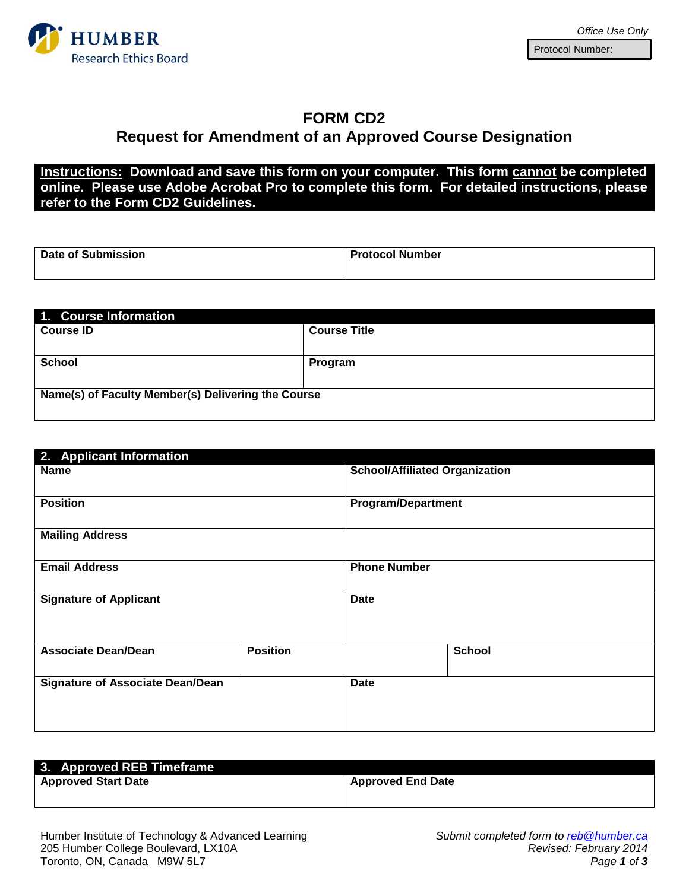

## **FORM CD2 Request for Amendment of an Approved Course Designation**

**Instructions: Download and save this form on your computer. This form cannot be completed online. Please use Adobe Acrobat Pro to complete this form. For detailed instructions, please refer to the Form CD2 Guidelines.**

| Date of Submission | <b>Protocol Number</b> |
|--------------------|------------------------|
|                    |                        |

| 1. Course Information                              |                     |  |
|----------------------------------------------------|---------------------|--|
| <b>Course ID</b>                                   | <b>Course Title</b> |  |
|                                                    |                     |  |
| <b>School</b>                                      | Program             |  |
|                                                    |                     |  |
| Name(s) of Faculty Member(s) Delivering the Course |                     |  |
|                                                    |                     |  |

| 2. Applicant Information                |                 |                                       |               |
|-----------------------------------------|-----------------|---------------------------------------|---------------|
| <b>Name</b>                             |                 | <b>School/Affiliated Organization</b> |               |
| <b>Position</b>                         |                 | <b>Program/Department</b>             |               |
| <b>Mailing Address</b>                  |                 |                                       |               |
| <b>Email Address</b>                    |                 | <b>Phone Number</b>                   |               |
| <b>Signature of Applicant</b>           |                 | <b>Date</b>                           |               |
| <b>Associate Dean/Dean</b>              | <b>Position</b> |                                       | <b>School</b> |
| <b>Signature of Associate Dean/Dean</b> |                 | <b>Date</b>                           |               |

| 3. Approved REB Timeframe  |                          |
|----------------------------|--------------------------|
| <b>Approved Start Date</b> | <b>Approved End Date</b> |
|                            |                          |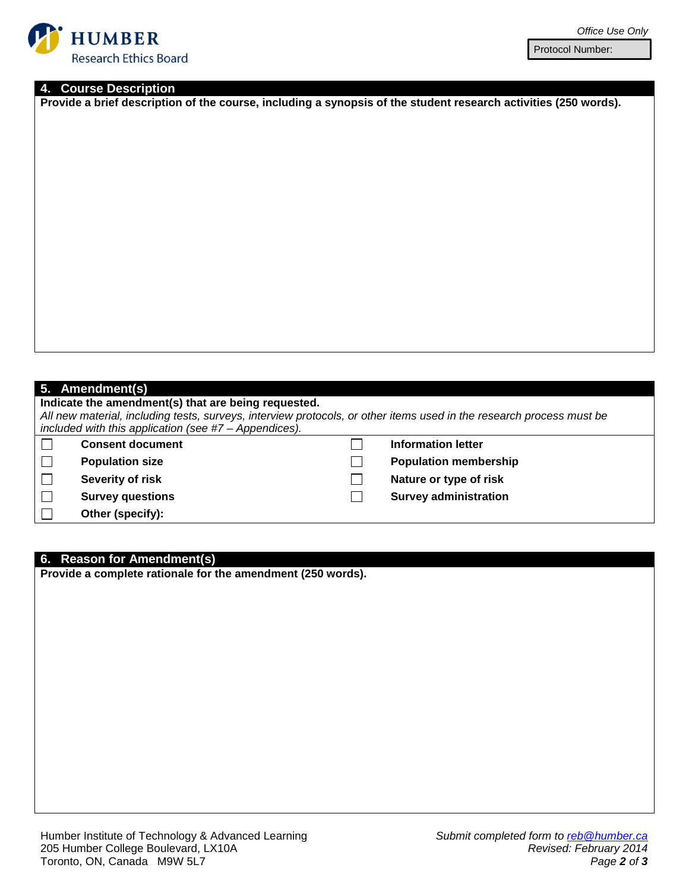

Protocol Number:

## **4. Course Description**

**Provide a brief description of the course, including a synopsis of the student research activities (250 words).**

|              | 5. Amendment(s)                                                                                                                                                                                                                        |                              |
|--------------|----------------------------------------------------------------------------------------------------------------------------------------------------------------------------------------------------------------------------------------|------------------------------|
|              | Indicate the amendment(s) that are being requested.<br>All new material, including tests, surveys, interview protocols, or other items used in the research process must be<br>included with this application (see $#7 -$ Appendices). |                              |
|              | <b>Consent document</b>                                                                                                                                                                                                                | <b>Information letter</b>    |
|              | <b>Population size</b>                                                                                                                                                                                                                 | <b>Population membership</b> |
| $\mathbf{L}$ | Severity of risk                                                                                                                                                                                                                       | Nature or type of risk       |
|              | <b>Survey questions</b>                                                                                                                                                                                                                | <b>Survey administration</b> |
|              | Other (specify):                                                                                                                                                                                                                       |                              |

| 6. Reason for Amendment(s)<br>Provide a complete rationale for the amendment (250 words). |  |
|-------------------------------------------------------------------------------------------|--|
|                                                                                           |  |
|                                                                                           |  |
|                                                                                           |  |
|                                                                                           |  |
|                                                                                           |  |
|                                                                                           |  |